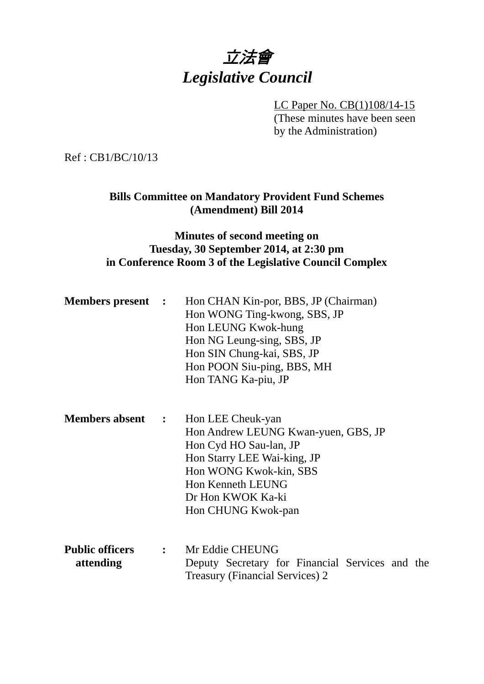# 立法會 *Legislative Council*

LC Paper No. CB(1)108/14-15 (These minutes have been seen by the Administration)

Ref : CB1/BC/10/13

### **Bills Committee on Mandatory Provident Fund Schemes (Amendment) Bill 2014**

## **Minutes of second meeting on Tuesday, 30 September 2014, at 2:30 pm in Conference Room 3 of the Legislative Council Complex**

| <b>Members present :</b>            | Hon CHAN Kin-por, BBS, JP (Chairman)<br>Hon WONG Ting-kwong, SBS, JP<br>Hon LEUNG Kwok-hung<br>Hon NG Leung-sing, SBS, JP<br>Hon SIN Chung-kai, SBS, JP<br>Hon POON Siu-ping, BBS, MH<br>Hon TANG Ka-piu, JP |
|-------------------------------------|--------------------------------------------------------------------------------------------------------------------------------------------------------------------------------------------------------------|
| <b>Members absent :</b>             | Hon LEE Cheuk-yan<br>Hon Andrew LEUNG Kwan-yuen, GBS, JP<br>Hon Cyd HO Sau-lan, JP<br>Hon Starry LEE Wai-king, JP<br>Hon WONG Kwok-kin, SBS<br>Hon Kenneth LEUNG<br>Dr Hon KWOK Ka-ki<br>Hon CHUNG Kwok-pan  |
| <b>Public officers</b><br>attending | : Mr Eddie CHEUNG<br>Deputy Secretary for Financial Services and the<br><b>Treasury (Financial Services) 2</b>                                                                                               |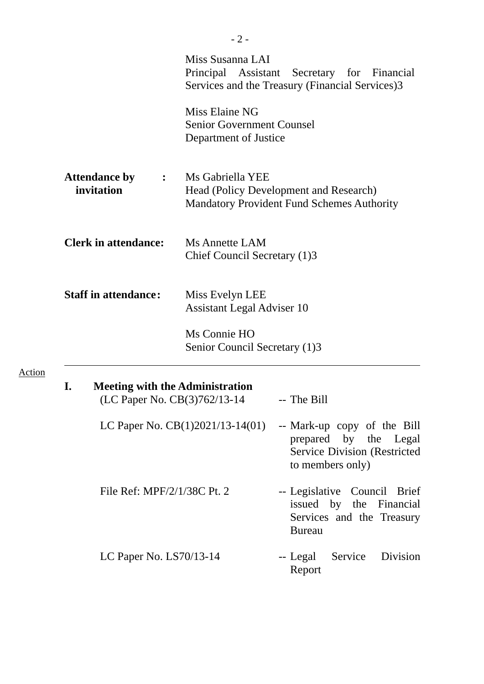|                                                                              | Miss Susanna LAI                                                            | Principal Assistant Secretary for Financial<br>Services and the Treasury (Financial Services)3                                                     |
|------------------------------------------------------------------------------|-----------------------------------------------------------------------------|----------------------------------------------------------------------------------------------------------------------------------------------------|
|                                                                              | Miss Elaine NG<br><b>Senior Government Counsel</b><br>Department of Justice |                                                                                                                                                    |
| <b>Attendance by</b><br>$\ddot{\cdot}$<br>invitation                         | Ms Gabriella YEE                                                            | Head (Policy Development and Research)<br><b>Mandatory Provident Fund Schemes Authority</b>                                                        |
| <b>Clerk in attendance:</b>                                                  | Ms Annette LAM<br>Chief Council Secretary (1)3                              |                                                                                                                                                    |
| <b>Staff in attendance:</b>                                                  | Miss Evelyn LEE<br><b>Assistant Legal Adviser 10</b>                        |                                                                                                                                                    |
|                                                                              | Ms Connie HO<br>Senior Council Secretary (1)3                               |                                                                                                                                                    |
| I.<br><b>Meeting with the Administration</b><br>(LC Paper No. CB(3)762/13-14 |                                                                             | -- The Bill                                                                                                                                        |
|                                                                              |                                                                             | LC Paper No. $CB(1)2021/13-14(01)$ -- Mark-up copy of the Bill<br>prepared by the Legal<br><b>Service Division (Restricted</b><br>to members only) |
| File Ref: MPF/2/1/38C Pt. 2                                                  |                                                                             | -- Legislative Council Brief<br>issued by the Financial<br>Services and the Treasury<br><b>Bureau</b>                                              |
| LC Paper No. LS70/13-14                                                      |                                                                             | Service<br>Division<br>-- Legal<br>Report                                                                                                          |

Action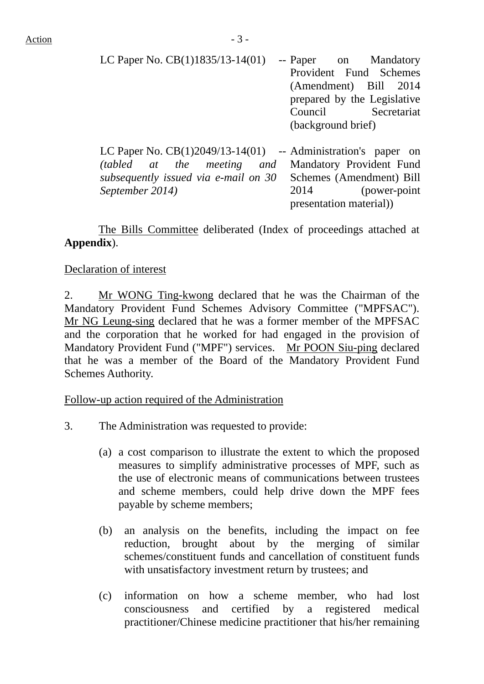| LC Paper No. $CB(1)1835/13-14(01)$                              |                    | -- Paper on Mandatory       |
|-----------------------------------------------------------------|--------------------|-----------------------------|
|                                                                 |                    | Provident Fund Schemes      |
|                                                                 |                    | (Amendment) Bill 2014       |
|                                                                 |                    | prepared by the Legislative |
|                                                                 |                    | Council Secretariat         |
|                                                                 | (background brief) |                             |
|                                                                 |                    |                             |
| LC Paper No. $CB(1)2049/13-14(01)$ -- Administration's paper on |                    |                             |
| (tabled at the meeting and                                      |                    | Mandatory Provident Fund    |
| subsequently issued via e-mail on 30                            |                    | Schemes (Amendment) Bill    |
| September 2014)                                                 | 2014               | (power-point)               |
|                                                                 |                    | presentation material))     |

1. The Bills Committee deliberated (Index of proceedings attached at **Appendix**).

### Declaration of interest

2. Mr WONG Ting-kwong declared that he was the Chairman of the Mandatory Provident Fund Schemes Advisory Committee ("MPFSAC"). Mr NG Leung-sing declared that he was a former member of the MPFSAC and the corporation that he worked for had engaged in the provision of Mandatory Provident Fund ("MPF") services. Mr POON Siu-ping declared that he was a member of the Board of the Mandatory Provident Fund Schemes Authority.

Follow-up action required of the Administration

- 3. The Administration was requested to provide:
	- (a) a cost comparison to illustrate the extent to which the proposed measures to simplify administrative processes of MPF, such as the use of electronic means of communications between trustees and scheme members, could help drive down the MPF fees payable by scheme members;
	- (b) an analysis on the benefits, including the impact on fee reduction, brought about by the merging of similar schemes/constituent funds and cancellation of constituent funds with unsatisfactory investment return by trustees; and
	- (c) information on how a scheme member, who had lost consciousness and certified by a registered medical practitioner/Chinese medicine practitioner that his/her remaining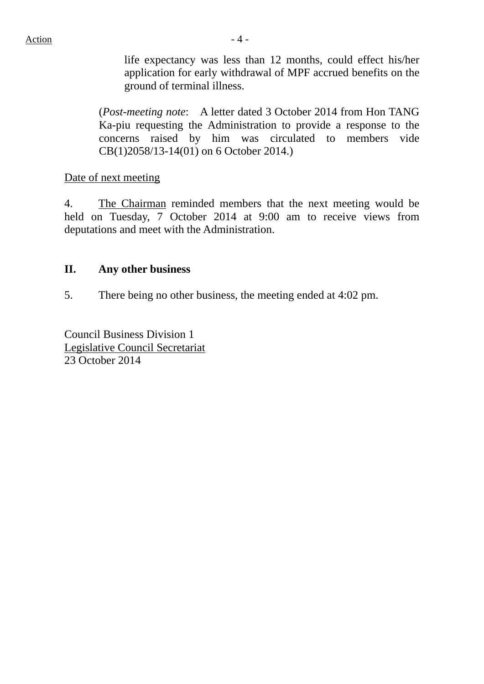life expectancy was less than 12 months, could effect his/her application for early withdrawal of MPF accrued benefits on the ground of terminal illness.

(*Post-meeting note*: A letter dated 3 October 2014 from Hon TANG Ka-piu requesting the Administration to provide a response to the concerns raised by him was circulated to members vide CB(1)2058/13-14(01) on 6 October 2014.)

Date of next meeting

4. The Chairman reminded members that the next meeting would be held on Tuesday, 7 October 2014 at 9:00 am to receive views from deputations and meet with the Administration.

#### **II. Any other business**

5. There being no other business, the meeting ended at 4:02 pm.

Council Business Division 1 Legislative Council Secretariat 23 October 2014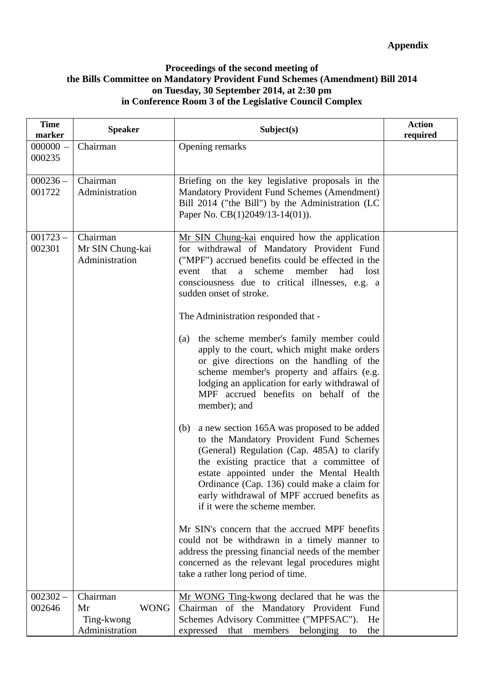#### **Proceedings of the second meeting of the Bills Committee on Mandatory Provident Fund Schemes (Amendment) Bill 2014 on Tuesday, 30 September 2014, at 2:30 pm in Conference Room 3 of the Legislative Council Complex**

| <b>Time</b><br>marker | <b>Speaker</b>                                                | Subject(s)                                                                                                                                                                                                                                                                                                                                                           | <b>Action</b><br>required |
|-----------------------|---------------------------------------------------------------|----------------------------------------------------------------------------------------------------------------------------------------------------------------------------------------------------------------------------------------------------------------------------------------------------------------------------------------------------------------------|---------------------------|
| $000000 -$<br>000235  | Chairman                                                      | Opening remarks                                                                                                                                                                                                                                                                                                                                                      |                           |
| $000236 -$<br>001722  | Chairman<br>Administration                                    | Briefing on the key legislative proposals in the<br>Mandatory Provident Fund Schemes (Amendment)<br>Bill 2014 ("the Bill") by the Administration (LC<br>Paper No. CB(1)2049/13-14(01)).                                                                                                                                                                              |                           |
| $001723 -$<br>002301  | Chairman<br>Mr SIN Chung-kai<br>Administration                | Mr SIN Chung-kai enquired how the application<br>for withdrawal of Mandatory Provident Fund<br>("MPF") accrued benefits could be effected in the<br>scheme<br>member<br>had<br>event<br>that<br>a a<br>lost<br>consciousness due to critical illnesses, e.g. a<br>sudden onset of stroke.<br>The Administration responded that -                                     |                           |
|                       |                                                               | the scheme member's family member could<br>(a)<br>apply to the court, which might make orders<br>or give directions on the handling of the<br>scheme member's property and affairs (e.g.<br>lodging an application for early withdrawal of<br>MPF accrued benefits on behalf of the<br>member); and                                                                  |                           |
|                       |                                                               | a new section 165A was proposed to be added<br>(b)<br>to the Mandatory Provident Fund Schemes<br>(General) Regulation (Cap. 485A) to clarify<br>the existing practice that a committee of<br>estate appointed under the Mental Health<br>Ordinance (Cap. 136) could make a claim for<br>early withdrawal of MPF accrued benefits as<br>if it were the scheme member. |                           |
|                       |                                                               | Mr SIN's concern that the accrued MPF benefits<br>could not be withdrawn in a timely manner to<br>address the pressing financial needs of the member<br>concerned as the relevant legal procedures might<br>take a rather long period of time.                                                                                                                       |                           |
| $002302 -$<br>002646  | Chairman<br><b>WONG</b><br>Mr<br>Ting-kwong<br>Administration | Mr WONG Ting-kwong declared that he was the<br>Chairman of the Mandatory Provident Fund<br>Schemes Advisory Committee ("MPFSAC").<br>He<br>expressed<br>that members<br>belonging to<br>the                                                                                                                                                                          |                           |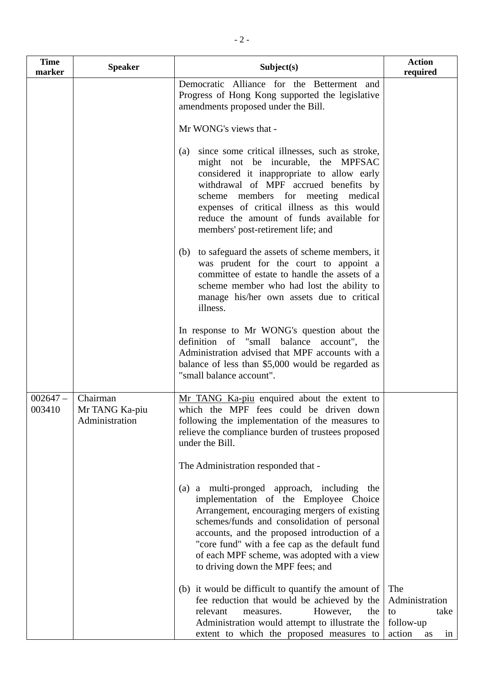| <b>Time</b><br>marker | <b>Speaker</b>                               | Subject(s)                                                                                                                                                                                                                                                                                                                                                                | <b>Action</b><br>required                                              |
|-----------------------|----------------------------------------------|---------------------------------------------------------------------------------------------------------------------------------------------------------------------------------------------------------------------------------------------------------------------------------------------------------------------------------------------------------------------------|------------------------------------------------------------------------|
|                       |                                              | Democratic Alliance for the Betterment and<br>Progress of Hong Kong supported the legislative<br>amendments proposed under the Bill.                                                                                                                                                                                                                                      |                                                                        |
|                       |                                              | Mr WONG's views that -                                                                                                                                                                                                                                                                                                                                                    |                                                                        |
|                       |                                              | since some critical illnesses, such as stroke,<br>(a)<br>might not be incurable, the MPFSAC<br>considered it inappropriate to allow early<br>withdrawal of MPF accrued benefits by<br>scheme members for meeting medical<br>expenses of critical illness as this would<br>reduce the amount of funds available for<br>members' post-retirement life; and                  |                                                                        |
|                       |                                              | to safeguard the assets of scheme members, it<br>(b)<br>was prudent for the court to appoint a<br>committee of estate to handle the assets of a<br>scheme member who had lost the ability to<br>manage his/her own assets due to critical<br>illness.                                                                                                                     |                                                                        |
|                       |                                              | In response to Mr WONG's question about the<br>definition of "small balance account", the<br>Administration advised that MPF accounts with a<br>balance of less than \$5,000 would be regarded as<br>"small balance account".                                                                                                                                             |                                                                        |
| $002647-$<br>003410   | Chairman<br>Mr TANG Ka-piu<br>Administration | Mr TANG Ka-piu enquired about the extent to<br>which the MPF fees could be driven down<br>following the implementation of the measures to<br>relieve the compliance burden of trustees proposed<br>under the Bill.                                                                                                                                                        |                                                                        |
|                       |                                              | The Administration responded that -                                                                                                                                                                                                                                                                                                                                       |                                                                        |
|                       |                                              | (a) a multi-pronged approach, including the<br>implementation of the Employee Choice<br>Arrangement, encouraging mergers of existing<br>schemes/funds and consolidation of personal<br>accounts, and the proposed introduction of a<br>"core fund" with a fee cap as the default fund<br>of each MPF scheme, was adopted with a view<br>to driving down the MPF fees; and |                                                                        |
|                       |                                              | (b) it would be difficult to quantify the amount of<br>fee reduction that would be achieved by the<br>relevant<br>However,<br>the<br>measures.<br>Administration would attempt to illustrate the<br>extent to which the proposed measures to                                                                                                                              | The<br>Administration<br>to<br>take<br>follow-up<br>action<br>in<br>as |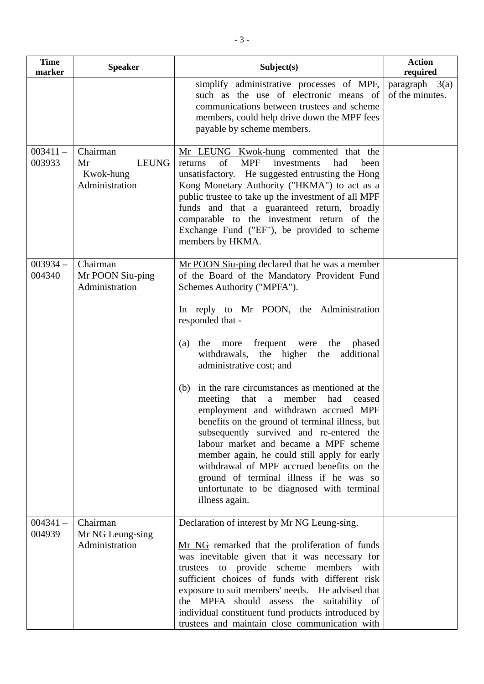| <b>Time</b><br>marker | <b>Speaker</b>                                                | Subject(s)                                                                                                                                                                                                                                                                                                                                                                                                                                                                            | <b>Action</b><br>required           |
|-----------------------|---------------------------------------------------------------|---------------------------------------------------------------------------------------------------------------------------------------------------------------------------------------------------------------------------------------------------------------------------------------------------------------------------------------------------------------------------------------------------------------------------------------------------------------------------------------|-------------------------------------|
|                       |                                                               | simplify administrative processes of MPF,<br>such as the use of electronic means of<br>communications between trustees and scheme<br>members, could help drive down the MPF fees<br>payable by scheme members.                                                                                                                                                                                                                                                                        | paragraph $3(a)$<br>of the minutes. |
| $003411 -$<br>003933  | Chairman<br><b>LEUNG</b><br>Mr<br>Kwok-hung<br>Administration | Mr LEUNG Kwok-hung commented that the<br>of<br><b>MPF</b><br>investments<br>had<br>returns<br>been<br>unsatisfactory. He suggested entrusting the Hong<br>Kong Monetary Authority ("HKMA") to act as a<br>public trustee to take up the investment of all MPF<br>funds and that a guaranteed return, broadly<br>comparable to the investment return of the<br>Exchange Fund ("EF"), be provided to scheme<br>members by HKMA.                                                         |                                     |
| $003934 -$<br>004340  | Chairman<br>Mr POON Siu-ping<br>Administration                | Mr POON Siu-ping declared that he was a member<br>of the Board of the Mandatory Provident Fund<br>Schemes Authority ("MPFA").<br>In reply to Mr POON, the Administration<br>responded that -                                                                                                                                                                                                                                                                                          |                                     |
|                       |                                                               | frequent were the<br>phased<br>the<br>more<br>(a)<br>withdrawals, the higher the<br>additional<br>administrative cost; and                                                                                                                                                                                                                                                                                                                                                            |                                     |
|                       |                                                               | in the rare circumstances as mentioned at the<br>(b)<br>meeting that a member<br>had<br>ceased<br>employment and withdrawn accrued MPF<br>benefits on the ground of terminal illness, but<br>subsequently survived and re-entered the<br>labour market and became a MPF scheme<br>member again, he could still apply for early<br>withdrawal of MPF accrued benefits on the<br>ground of terminal illness if he was so<br>unfortunate to be diagnosed with terminal<br>illness again. |                                     |
| $004341 -$<br>004939  | Chairman<br>Mr NG Leung-sing<br>Administration                | Declaration of interest by Mr NG Leung-sing.<br>Mr NG remarked that the proliferation of funds<br>was inevitable given that it was necessary for<br>trustees to provide scheme members with<br>sufficient choices of funds with different risk<br>exposure to suit members' needs. He advised that<br>the MPFA should assess the suitability of<br>individual constituent fund products introduced by<br>trustees and maintain close communication with                               |                                     |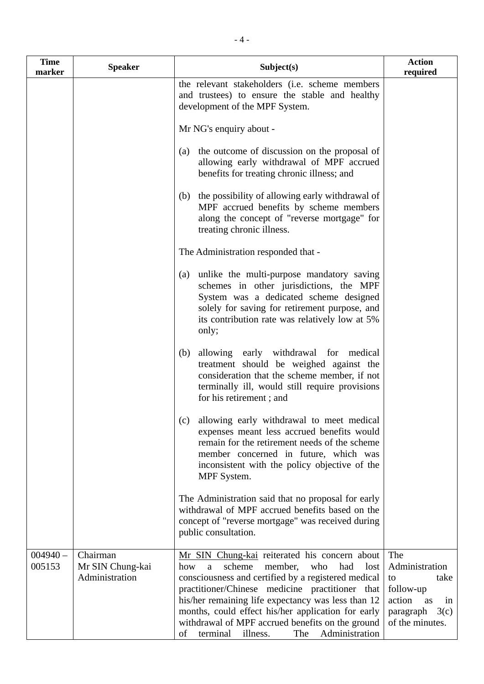| <b>Time</b><br>marker | <b>Speaker</b>                                 | Subject(s)                                                                                                                                                                                                                                                                                                                                                                                                                            | <b>Action</b><br>required                                                                                      |
|-----------------------|------------------------------------------------|---------------------------------------------------------------------------------------------------------------------------------------------------------------------------------------------------------------------------------------------------------------------------------------------------------------------------------------------------------------------------------------------------------------------------------------|----------------------------------------------------------------------------------------------------------------|
|                       |                                                | the relevant stakeholders (i.e. scheme members<br>and trustees) to ensure the stable and healthy<br>development of the MPF System.                                                                                                                                                                                                                                                                                                    |                                                                                                                |
|                       |                                                | Mr NG's enquiry about -                                                                                                                                                                                                                                                                                                                                                                                                               |                                                                                                                |
|                       |                                                | the outcome of discussion on the proposal of<br>(a)<br>allowing early withdrawal of MPF accrued<br>benefits for treating chronic illness; and                                                                                                                                                                                                                                                                                         |                                                                                                                |
|                       |                                                | the possibility of allowing early withdrawal of<br>(b)<br>MPF accrued benefits by scheme members<br>along the concept of "reverse mortgage" for<br>treating chronic illness.                                                                                                                                                                                                                                                          |                                                                                                                |
|                       |                                                | The Administration responded that -                                                                                                                                                                                                                                                                                                                                                                                                   |                                                                                                                |
|                       |                                                | unlike the multi-purpose mandatory saving<br>(a)<br>schemes in other jurisdictions, the MPF<br>System was a dedicated scheme designed<br>solely for saving for retirement purpose, and<br>its contribution rate was relatively low at 5%<br>only;                                                                                                                                                                                     |                                                                                                                |
|                       |                                                | allowing early withdrawal for medical<br>(b)<br>treatment should be weighed against the<br>consideration that the scheme member, if not<br>terminally ill, would still require provisions<br>for his retirement; and                                                                                                                                                                                                                  |                                                                                                                |
|                       |                                                | allowing early withdrawal to meet medical<br>(c)<br>expenses meant less accrued benefits would<br>remain for the retirement needs of the scheme<br>member concerned in future, which was<br>inconsistent with the policy objective of the<br>MPF System.                                                                                                                                                                              |                                                                                                                |
|                       |                                                | The Administration said that no proposal for early<br>withdrawal of MPF accrued benefits based on the<br>concept of "reverse mortgage" was received during<br>public consultation.                                                                                                                                                                                                                                                    |                                                                                                                |
| $004940 -$<br>005153  | Chairman<br>Mr SIN Chung-kai<br>Administration | Mr SIN Chung-kai reiterated his concern about<br>scheme<br>had<br>member,<br>who<br>lost<br>how<br>a<br>consciousness and certified by a registered medical<br>practitioner/Chinese medicine practitioner that<br>his/her remaining life expectancy was less than 12<br>months, could effect his/her application for early<br>withdrawal of MPF accrued benefits on the ground<br>Administration<br>of<br>terminal<br>illness.<br>The | The<br>Administration<br>take<br>to<br>follow-up<br>action<br>as<br>in<br>paragraph<br>3(c)<br>of the minutes. |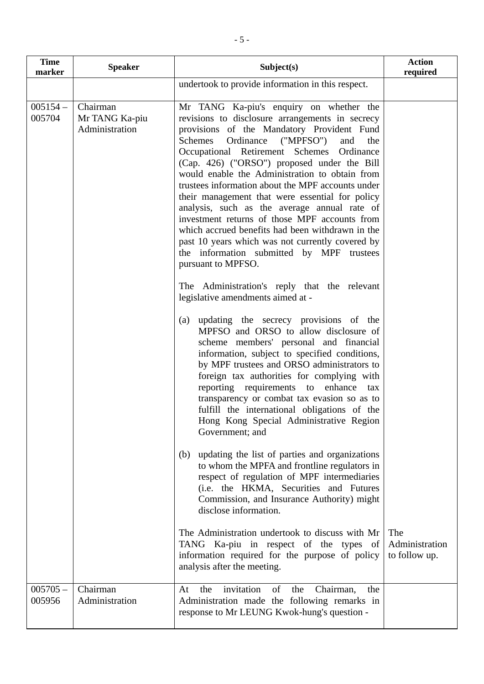| <b>Time</b><br>marker | <b>Speaker</b>                               | Subject(s)                                                                                                                                                                                                                                                                                                                                                                                                                                                                                                                                                                                                                                                                                                                    | <b>Action</b><br>required              |
|-----------------------|----------------------------------------------|-------------------------------------------------------------------------------------------------------------------------------------------------------------------------------------------------------------------------------------------------------------------------------------------------------------------------------------------------------------------------------------------------------------------------------------------------------------------------------------------------------------------------------------------------------------------------------------------------------------------------------------------------------------------------------------------------------------------------------|----------------------------------------|
|                       |                                              | undertook to provide information in this respect.                                                                                                                                                                                                                                                                                                                                                                                                                                                                                                                                                                                                                                                                             |                                        |
| $005154 -$<br>005704  | Chairman<br>Mr TANG Ka-piu<br>Administration | Mr TANG Ka-piu's enquiry on whether the<br>revisions to disclosure arrangements in secrecy<br>provisions of the Mandatory Provident Fund<br>Ordinance<br>Schemes<br>("MPFSO")<br>and<br>the<br>Occupational Retirement Schemes Ordinance<br>(Cap. 426) ("ORSO") proposed under the Bill<br>would enable the Administration to obtain from<br>trustees information about the MPF accounts under<br>their management that were essential for policy<br>analysis, such as the average annual rate of<br>investment returns of those MPF accounts from<br>which accrued benefits had been withdrawn in the<br>past 10 years which was not currently covered by<br>the information submitted by MPF trustees<br>pursuant to MPFSO. |                                        |
|                       |                                              | The Administration's reply that the relevant<br>legislative amendments aimed at -                                                                                                                                                                                                                                                                                                                                                                                                                                                                                                                                                                                                                                             |                                        |
|                       |                                              | updating the secrecy provisions of the<br>(a)<br>MPFSO and ORSO to allow disclosure of<br>scheme members' personal and financial<br>information, subject to specified conditions,<br>by MPF trustees and ORSO administrators to<br>foreign tax authorities for complying with<br>reporting requirements to enhance<br>tax<br>transparency or combat tax evasion so as to<br>fulfill the international obligations of the<br>Hong Kong Special Administrative Region<br>Government; and                                                                                                                                                                                                                                        |                                        |
|                       |                                              | updating the list of parties and organizations<br>(b)<br>to whom the MPFA and frontline regulators in<br>respect of regulation of MPF intermediaries<br>(i.e. the HKMA, Securities and Futures<br>Commission, and Insurance Authority) might<br>disclose information.                                                                                                                                                                                                                                                                                                                                                                                                                                                         |                                        |
|                       |                                              | The Administration undertook to discuss with Mr<br>TANG Ka-piu in respect of the types of<br>information required for the purpose of policy<br>analysis after the meeting.                                                                                                                                                                                                                                                                                                                                                                                                                                                                                                                                                    | The<br>Administration<br>to follow up. |
| $005705 -$<br>005956  | Chairman<br>Administration                   | invitation<br>of<br>At<br>the<br>the<br>Chairman,<br>the<br>Administration made the following remarks in<br>response to Mr LEUNG Kwok-hung's question -                                                                                                                                                                                                                                                                                                                                                                                                                                                                                                                                                                       |                                        |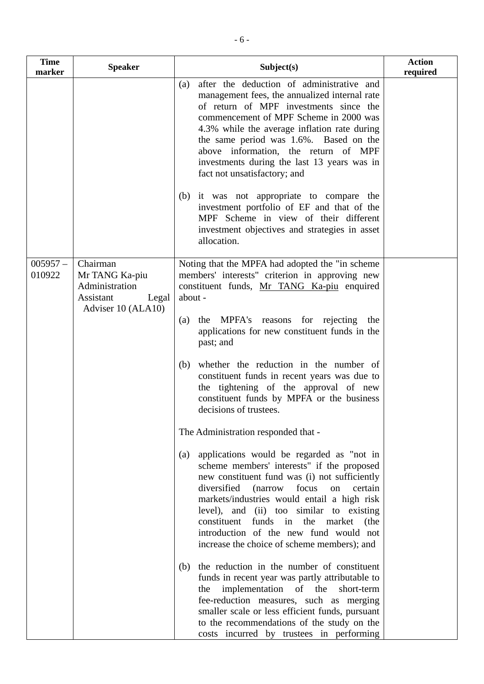| <b>Time</b><br>marker | <b>Speaker</b>                                                                           | Subject(s)                                                                                                                                                                                                                                                                                                                                                                                                                         | <b>Action</b><br>required |
|-----------------------|------------------------------------------------------------------------------------------|------------------------------------------------------------------------------------------------------------------------------------------------------------------------------------------------------------------------------------------------------------------------------------------------------------------------------------------------------------------------------------------------------------------------------------|---------------------------|
|                       |                                                                                          | after the deduction of administrative and<br>(a)<br>management fees, the annualized internal rate<br>of return of MPF investments since the<br>commencement of MPF Scheme in 2000 was<br>4.3% while the average inflation rate during<br>the same period was 1.6%. Based on the<br>above information, the return of MPF<br>investments during the last 13 years was in<br>fact not unsatisfactory; and                             |                           |
|                       |                                                                                          | (b) it was not appropriate to compare the<br>investment portfolio of EF and that of the<br>MPF Scheme in view of their different<br>investment objectives and strategies in asset<br>allocation.                                                                                                                                                                                                                                   |                           |
| $005957 -$<br>010922  | Chairman<br>Mr TANG Ka-piu<br>Administration<br>Assistant<br>Legal<br>Adviser 10 (ALA10) | Noting that the MPFA had adopted the "in scheme"<br>members' interests" criterion in approving new<br>constituent funds, Mr TANG Ka-piu enquired<br>about -                                                                                                                                                                                                                                                                        |                           |
|                       |                                                                                          | the MPFA's reasons for rejecting the<br>(a)<br>applications for new constituent funds in the<br>past; and                                                                                                                                                                                                                                                                                                                          |                           |
|                       |                                                                                          | whether the reduction in the number of<br>(b)<br>constituent funds in recent years was due to<br>the tightening of the approval of new<br>constituent funds by MPFA or the business<br>decisions of trustees.                                                                                                                                                                                                                      |                           |
|                       |                                                                                          | The Administration responded that -                                                                                                                                                                                                                                                                                                                                                                                                |                           |
|                       |                                                                                          | applications would be regarded as "not in<br>(a)<br>scheme members' interests" if the proposed<br>new constituent fund was (i) not sufficiently<br>diversified (narrow focus<br>on<br>certain<br>markets/industries would entail a high risk<br>level), and (ii) too similar to existing<br>funds in the<br>constituent<br>market<br>(the<br>introduction of the new fund would not<br>increase the choice of scheme members); and |                           |
|                       |                                                                                          | the reduction in the number of constituent<br>(b)<br>funds in recent year was partly attributable to<br>implementation<br>of the<br>short-term<br>the<br>fee-reduction measures, such as merging<br>smaller scale or less efficient funds, pursuant<br>to the recommendations of the study on the<br>costs incurred by trustees in performing                                                                                      |                           |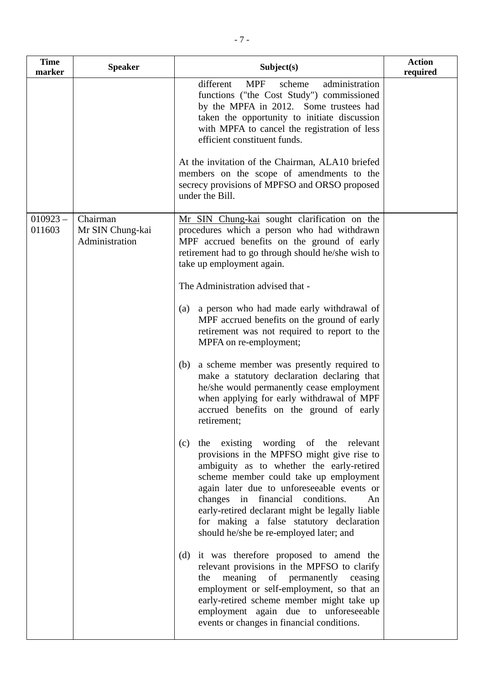| <b>Time</b><br>marker | <b>Speaker</b>                                 | Subject(s)                                                                                                                                                                                                                                                                                                                                                                                                         | <b>Action</b><br>required |
|-----------------------|------------------------------------------------|--------------------------------------------------------------------------------------------------------------------------------------------------------------------------------------------------------------------------------------------------------------------------------------------------------------------------------------------------------------------------------------------------------------------|---------------------------|
|                       |                                                | different<br>administration<br><b>MPF</b><br>scheme<br>functions ("the Cost Study") commissioned<br>by the MPFA in 2012. Some trustees had<br>taken the opportunity to initiate discussion<br>with MPFA to cancel the registration of less<br>efficient constituent funds.                                                                                                                                         |                           |
|                       |                                                | At the invitation of the Chairman, ALA10 briefed<br>members on the scope of amendments to the<br>secrecy provisions of MPFSO and ORSO proposed<br>under the Bill.                                                                                                                                                                                                                                                  |                           |
| $010923 -$<br>011603  | Chairman<br>Mr SIN Chung-kai<br>Administration | Mr SIN Chung-kai sought clarification on the<br>procedures which a person who had withdrawn<br>MPF accrued benefits on the ground of early<br>retirement had to go through should he/she wish to<br>take up employment again.                                                                                                                                                                                      |                           |
|                       |                                                | The Administration advised that -                                                                                                                                                                                                                                                                                                                                                                                  |                           |
|                       |                                                | a person who had made early withdrawal of<br>(a)<br>MPF accrued benefits on the ground of early<br>retirement was not required to report to the<br>MPFA on re-employment;                                                                                                                                                                                                                                          |                           |
|                       |                                                | a scheme member was presently required to<br>(b)<br>make a statutory declaration declaring that<br>he/she would permanently cease employment<br>when applying for early withdrawal of MPF<br>accrued benefits on the ground of early<br>retirement;                                                                                                                                                                |                           |
|                       |                                                | the existing wording of the relevant<br>(c)<br>provisions in the MPFSO might give rise to<br>ambiguity as to whether the early-retired<br>scheme member could take up employment<br>again later due to unforeseeable events or<br>changes in financial conditions.<br>An<br>early-retired declarant might be legally liable<br>for making a false statutory declaration<br>should he/she be re-employed later; and |                           |
|                       |                                                | (d) it was therefore proposed to amend the<br>relevant provisions in the MPFSO to clarify<br>meaning of permanently ceasing<br>the<br>employment or self-employment, so that an<br>early-retired scheme member might take up<br>employment again due to unforeseeable<br>events or changes in financial conditions.                                                                                                |                           |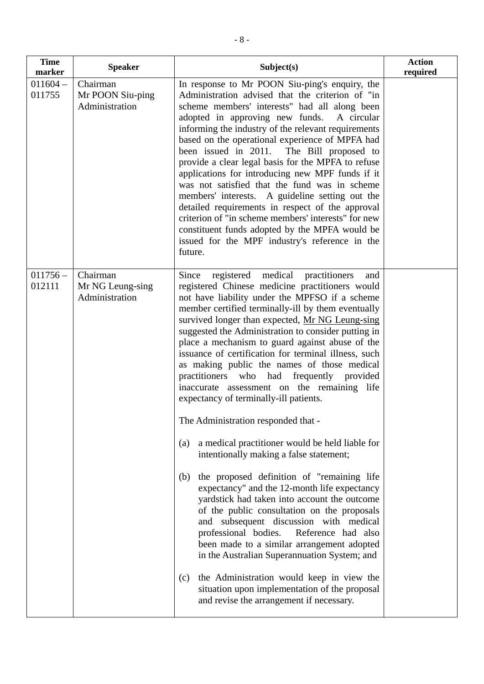| <b>Time</b><br>marker | <b>Speaker</b>                                 | Subject(s)                                                                                                                                                                                                                                                                                                                                                                                                                                                                                                                                                                                                                                                                                                                                                                                          | <b>Action</b><br>required |
|-----------------------|------------------------------------------------|-----------------------------------------------------------------------------------------------------------------------------------------------------------------------------------------------------------------------------------------------------------------------------------------------------------------------------------------------------------------------------------------------------------------------------------------------------------------------------------------------------------------------------------------------------------------------------------------------------------------------------------------------------------------------------------------------------------------------------------------------------------------------------------------------------|---------------------------|
| $011604 -$<br>011755  | Chairman<br>Mr POON Siu-ping<br>Administration | In response to Mr POON Siu-ping's enquiry, the<br>Administration advised that the criterion of "in<br>scheme members' interests" had all along been<br>adopted in approving new funds.<br>A circular<br>informing the industry of the relevant requirements<br>based on the operational experience of MPFA had<br>been issued in 2011. The Bill proposed to<br>provide a clear legal basis for the MPFA to refuse<br>applications for introducing new MPF funds if it<br>was not satisfied that the fund was in scheme<br>members' interests. A guideline setting out the<br>detailed requirements in respect of the approval<br>criterion of "in scheme members' interests" for new<br>constituent funds adopted by the MPFA would be<br>issued for the MPF industry's reference in the<br>future. |                           |
| $011756 -$<br>012111  | Chairman<br>Mr NG Leung-sing<br>Administration | registered medical practitioners<br>Since<br>and<br>registered Chinese medicine practitioners would<br>not have liability under the MPFSO if a scheme<br>member certified terminally-ill by them eventually<br>survived longer than expected, Mr NG Leung-sing<br>suggested the Administration to consider putting in<br>place a mechanism to guard against abuse of the<br>issuance of certification for terminal illness, such<br>as making public the names of those medical<br>practitioners who had frequently provided<br>inaccurate assessment on the remaining life<br>expectancy of terminally-ill patients.<br>The Administration responded that -                                                                                                                                        |                           |
|                       |                                                | a medical practitioner would be held liable for<br>(a)<br>intentionally making a false statement;<br>the proposed definition of "remaining life<br>(b)<br>expectancy" and the 12-month life expectancy<br>yardstick had taken into account the outcome<br>of the public consultation on the proposals<br>and subsequent discussion with medical<br>professional bodies.<br>Reference had also<br>been made to a similar arrangement adopted<br>in the Australian Superannuation System; and<br>the Administration would keep in view the<br>(c)<br>situation upon implementation of the proposal<br>and revise the arrangement if necessary.                                                                                                                                                        |                           |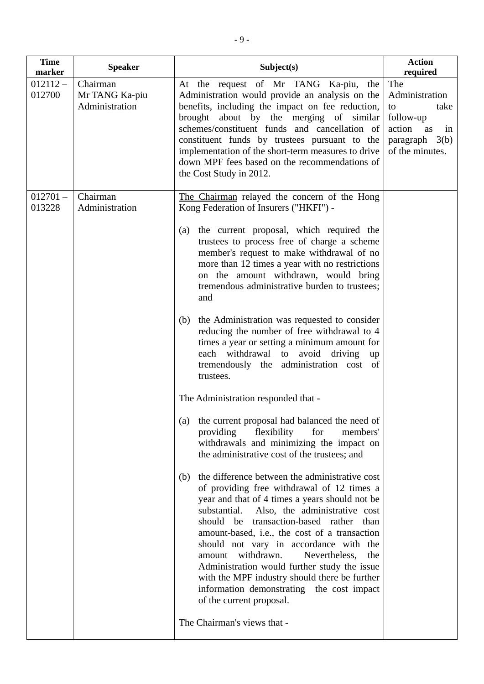| <b>Time</b><br>marker | <b>Speaker</b>                               | Subject(s)                                                                                                                                                                                                                                                                                                                                                                                                                                                                                                                                                                                                                                                                                                                                                                                                                                                                                                                                                                                                                                                                                                                                                                                                                                                                                                                                                                                            | <b>Action</b><br>required                                                                                           |
|-----------------------|----------------------------------------------|-------------------------------------------------------------------------------------------------------------------------------------------------------------------------------------------------------------------------------------------------------------------------------------------------------------------------------------------------------------------------------------------------------------------------------------------------------------------------------------------------------------------------------------------------------------------------------------------------------------------------------------------------------------------------------------------------------------------------------------------------------------------------------------------------------------------------------------------------------------------------------------------------------------------------------------------------------------------------------------------------------------------------------------------------------------------------------------------------------------------------------------------------------------------------------------------------------------------------------------------------------------------------------------------------------------------------------------------------------------------------------------------------------|---------------------------------------------------------------------------------------------------------------------|
| $012112 -$<br>012700  | Chairman<br>Mr TANG Ka-piu<br>Administration | At the request of Mr TANG Ka-piu, the<br>Administration would provide an analysis on the<br>benefits, including the impact on fee reduction,<br>brought about by the merging of similar<br>schemes/constituent funds and cancellation of<br>constituent funds by trustees pursuant to the<br>implementation of the short-term measures to drive<br>down MPF fees based on the recommendations of<br>the Cost Study in 2012.                                                                                                                                                                                                                                                                                                                                                                                                                                                                                                                                                                                                                                                                                                                                                                                                                                                                                                                                                                           | The<br>Administration<br>to<br>take<br>follow-up<br>action<br>as<br>in<br>$paragraph \quad 3(b)$<br>of the minutes. |
| $012701 -$<br>013228  | Chairman<br>Administration                   | The Chairman relayed the concern of the Hong<br>Kong Federation of Insurers ("HKFI") -                                                                                                                                                                                                                                                                                                                                                                                                                                                                                                                                                                                                                                                                                                                                                                                                                                                                                                                                                                                                                                                                                                                                                                                                                                                                                                                |                                                                                                                     |
|                       |                                              | the current proposal, which required the<br>(a)<br>trustees to process free of charge a scheme<br>member's request to make withdrawal of no<br>more than 12 times a year with no restrictions<br>on the amount withdrawn, would bring<br>tremendous administrative burden to trustees;<br>and<br>the Administration was requested to consider<br>(b)<br>reducing the number of free withdrawal to 4<br>times a year or setting a minimum amount for<br>each withdrawal to avoid driving<br>up<br>tremendously the administration cost of<br>trustees.<br>The Administration responded that -<br>(a) the current proposal had balanced the need of<br>flexibility<br>for<br>providing<br>members'<br>withdrawals and minimizing the impact on<br>the administrative cost of the trustees; and<br>the difference between the administrative cost<br>(b)<br>of providing free withdrawal of 12 times a<br>year and that of 4 times a years should not be<br>substantial.<br>Also, the administrative cost<br>should be transaction-based rather than<br>amount-based, i.e., the cost of a transaction<br>should not vary in accordance with the<br>withdrawn.<br>Nevertheless,<br>amount<br>the<br>Administration would further study the issue<br>with the MPF industry should there be further<br>information demonstrating the cost impact<br>of the current proposal.<br>The Chairman's views that - |                                                                                                                     |
|                       |                                              |                                                                                                                                                                                                                                                                                                                                                                                                                                                                                                                                                                                                                                                                                                                                                                                                                                                                                                                                                                                                                                                                                                                                                                                                                                                                                                                                                                                                       |                                                                                                                     |